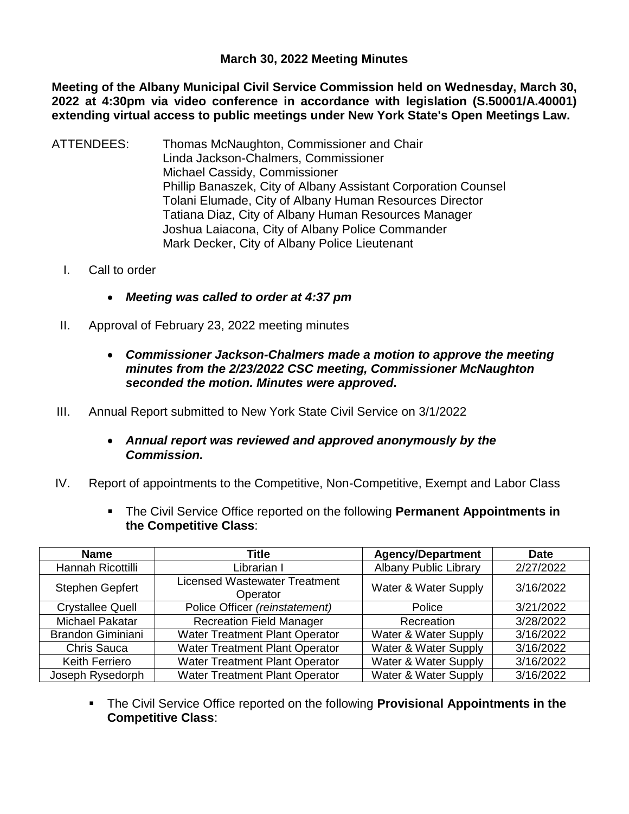## **March 30, 2022 Meeting Minutes**

**Meeting of the Albany Municipal Civil Service Commission held on Wednesday, March 30, 2022 at 4:30pm via video conference in accordance with legislation (S.50001/A.40001) extending virtual access to public meetings under New York State's Open Meetings Law.** 

- ATTENDEES: Thomas McNaughton, Commissioner and Chair Linda Jackson-Chalmers, Commissioner Michael Cassidy, Commissioner Phillip Banaszek, City of Albany Assistant Corporation Counsel Tolani Elumade, City of Albany Human Resources Director Tatiana Diaz, City of Albany Human Resources Manager Joshua Laiacona, City of Albany Police Commander Mark Decker, City of Albany Police Lieutenant
	- I. Call to order
		- *Meeting was called to order at 4:37 pm*
	- II. Approval of February 23, 2022 meeting minutes
		- *Commissioner Jackson-Chalmers made a motion to approve the meeting minutes from the 2/23/2022 CSC meeting, Commissioner McNaughton seconded the motion. Minutes were approved.*
- III. Annual Report submitted to New York State Civil Service on 3/1/2022
	- *Annual report was reviewed and approved anonymously by the Commission.*
- IV. Report of appointments to the Competitive, Non-Competitive, Exempt and Labor Class
	- The Civil Service Office reported on the following **Permanent Appointments in the Competitive Class**:

| <b>Name</b>              | <b>Title</b>                                     | <b>Agency/Department</b>     | <b>Date</b> |
|--------------------------|--------------------------------------------------|------------------------------|-------------|
| Hannah Ricottilli        | Librarian I                                      | <b>Albany Public Library</b> | 2/27/2022   |
| Stephen Gepfert          | <b>Licensed Wastewater Treatment</b><br>Operator | Water & Water Supply         | 3/16/2022   |
| <b>Crystallee Quell</b>  | Police Officer (reinstatement)                   | Police                       | 3/21/2022   |
| <b>Michael Pakatar</b>   | <b>Recreation Field Manager</b>                  | Recreation                   | 3/28/2022   |
| <b>Brandon Giminiani</b> | Water Treatment Plant Operator                   | Water & Water Supply         | 3/16/2022   |
| <b>Chris Sauca</b>       | <b>Water Treatment Plant Operator</b>            | Water & Water Supply         | 3/16/2022   |
| <b>Keith Ferriero</b>    | <b>Water Treatment Plant Operator</b>            | Water & Water Supply         | 3/16/2022   |
| Joseph Rysedorph         | <b>Water Treatment Plant Operator</b>            | Water & Water Supply         | 3/16/2022   |

 The Civil Service Office reported on the following **Provisional Appointments in the Competitive Class**: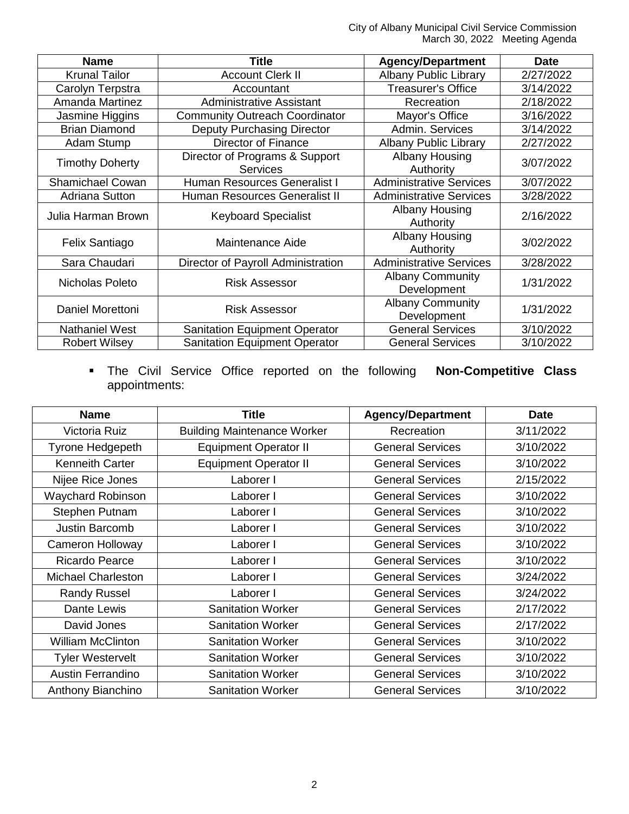City of Albany Municipal Civil Service Commission March 30, 2022 Meeting Agenda

| <b>Name</b>             | <b>Title</b>                                      | <b>Agency/Department</b>               | <b>Date</b> |
|-------------------------|---------------------------------------------------|----------------------------------------|-------------|
| <b>Krunal Tailor</b>    | <b>Account Clerk II</b>                           | <b>Albany Public Library</b>           | 2/27/2022   |
| Carolyn Terpstra        | Accountant                                        | <b>Treasurer's Office</b>              | 3/14/2022   |
| Amanda Martinez         | Administrative Assistant                          | Recreation                             | 2/18/2022   |
| Jasmine Higgins         | <b>Community Outreach Coordinator</b>             | Mayor's Office                         | 3/16/2022   |
| <b>Brian Diamond</b>    | Deputy Purchasing Director                        | Admin. Services                        | 3/14/2022   |
| Adam Stump              | Director of Finance                               | <b>Albany Public Library</b>           | 2/27/2022   |
| <b>Timothy Doherty</b>  | Director of Programs & Support<br><b>Services</b> | <b>Albany Housing</b><br>Authority     | 3/07/2022   |
| <b>Shamichael Cowan</b> | Human Resources Generalist I                      | <b>Administrative Services</b>         | 3/07/2022   |
| <b>Adriana Sutton</b>   | Human Resources Generalist II                     | <b>Administrative Services</b>         | 3/28/2022   |
| Julia Harman Brown      | <b>Keyboard Specialist</b>                        | Albany Housing<br>Authority            | 2/16/2022   |
| Felix Santiago          | Maintenance Aide                                  | Albany Housing<br>Authority            | 3/02/2022   |
| Sara Chaudari           | Director of Payroll Administration                | <b>Administrative Services</b>         | 3/28/2022   |
| Nicholas Poleto         | <b>Risk Assessor</b>                              | <b>Albany Community</b><br>Development | 1/31/2022   |
| Daniel Morettoni        | <b>Risk Assessor</b>                              | <b>Albany Community</b><br>Development | 1/31/2022   |
| <b>Nathaniel West</b>   | <b>Sanitation Equipment Operator</b>              | <b>General Services</b>                | 3/10/2022   |
| <b>Robert Wilsey</b>    | <b>Sanitation Equipment Operator</b>              | <b>General Services</b>                | 3/10/2022   |

 The Civil Service Office reported on the following **Non-Competitive Class** appointments:

| <b>Name</b>               | <b>Title</b>                       | <b>Agency/Department</b> | <b>Date</b> |
|---------------------------|------------------------------------|--------------------------|-------------|
| Victoria Ruiz             | <b>Building Maintenance Worker</b> | Recreation               | 3/11/2022   |
| Tyrone Hedgepeth          | <b>Equipment Operator II</b>       | <b>General Services</b>  | 3/10/2022   |
| <b>Kenneith Carter</b>    | <b>Equipment Operator II</b>       | <b>General Services</b>  | 3/10/2022   |
| Nijee Rice Jones          | Laborer I                          | <b>General Services</b>  | 2/15/2022   |
| Waychard Robinson         | Laborer I                          | <b>General Services</b>  | 3/10/2022   |
| Stephen Putnam            | Laborer I                          | <b>General Services</b>  | 3/10/2022   |
| Justin Barcomb            | Laborer I                          | <b>General Services</b>  | 3/10/2022   |
| <b>Cameron Holloway</b>   | Laborer I                          | <b>General Services</b>  | 3/10/2022   |
| <b>Ricardo Pearce</b>     | Laborer I                          | <b>General Services</b>  | 3/10/2022   |
| <b>Michael Charleston</b> | Laborer I                          | <b>General Services</b>  | 3/24/2022   |
| <b>Randy Russel</b>       | Laborer I                          | <b>General Services</b>  | 3/24/2022   |
| Dante Lewis               | <b>Sanitation Worker</b>           | <b>General Services</b>  | 2/17/2022   |
| David Jones               | <b>Sanitation Worker</b>           | <b>General Services</b>  | 2/17/2022   |
| <b>William McClinton</b>  | <b>Sanitation Worker</b>           | <b>General Services</b>  | 3/10/2022   |
| <b>Tyler Westervelt</b>   | <b>Sanitation Worker</b>           | <b>General Services</b>  | 3/10/2022   |
| <b>Austin Ferrandino</b>  | <b>Sanitation Worker</b>           | <b>General Services</b>  | 3/10/2022   |
| Anthony Bianchino         | <b>Sanitation Worker</b>           | <b>General Services</b>  | 3/10/2022   |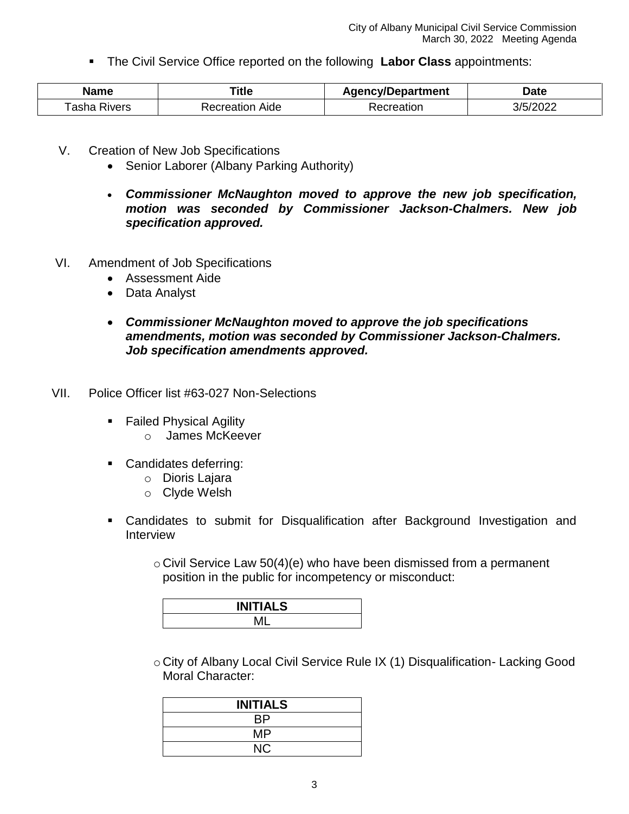The Civil Service Office reported on the following **Labor Class** appointments:

| Name            | Гitle              | <b>Agency/Department</b> | Date     |
|-----------------|--------------------|--------------------------|----------|
| Tasha<br>Rivers | Aide<br>Recreation | <i>secreation</i>        | 3/5/2022 |

- V. Creation of New Job Specifications
	- Senior Laborer (Albany Parking Authority)
	- *Commissioner McNaughton moved to approve the new job specification, motion was seconded by Commissioner Jackson-Chalmers. New job specification approved.*
- VI. Amendment of Job Specifications
	- Assessment Aide
	- Data Analyst
	- *Commissioner McNaughton moved to approve the job specifications amendments, motion was seconded by Commissioner Jackson-Chalmers. Job specification amendments approved.*
- VII. Police Officer list #63-027 Non-Selections
	- **Failed Physical Agility** 
		- o James McKeever
	- **Candidates deferring:** 
		- o Dioris Lajara
		- o Clyde Welsh
	- Candidates to submit for Disqualification after Background Investigation and Interview
		- $\circ$  Civil Service Law 50(4)(e) who have been dismissed from a permanent position in the public for incompetency or misconduct:

| <b>INITIALS</b> |  |
|-----------------|--|
|                 |  |

o City of Albany Local Civil Service Rule IX (1) Disqualification- Lacking Good Moral Character:

| <b>INITIALS</b> |  |
|-----------------|--|
| RP              |  |
| MP              |  |
| NC.             |  |